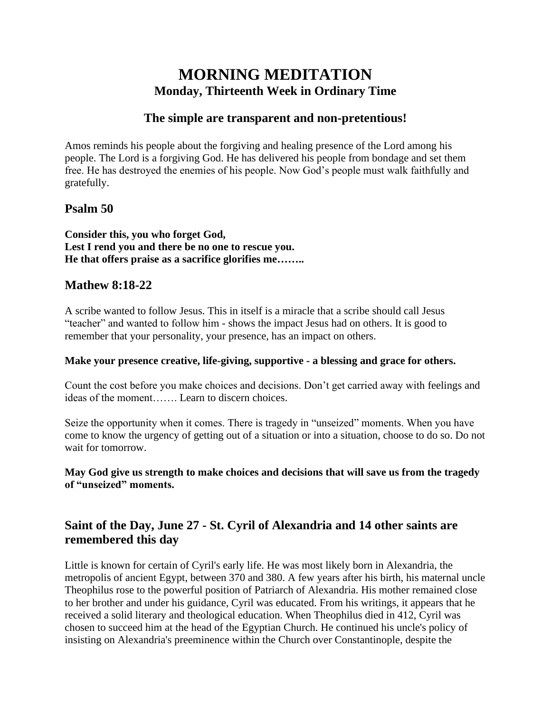# **MORNING MEDITATION Monday, Thirteenth Week in Ordinary Time**

## **The simple are transparent and non-pretentious!**

Amos reminds his people about the forgiving and healing presence of the Lord among his people. The Lord is a forgiving God. He has delivered his people from bondage and set them free. He has destroyed the enemies of his people. Now God's people must walk faithfully and gratefully.

### **Psalm 50**

**Consider this, you who forget God, Lest I rend you and there be no one to rescue you. He that offers praise as a sacrifice glorifies me……..**

### **Mathew 8:18-22**

A scribe wanted to follow Jesus. This in itself is a miracle that a scribe should call Jesus "teacher" and wanted to follow him - shows the impact Jesus had on others. It is good to remember that your personality, your presence, has an impact on others.

#### **Make your presence creative, life-giving, supportive - a blessing and grace for others.**

Count the cost before you make choices and decisions. Don't get carried away with feelings and ideas of the moment……. Learn to discern choices.

Seize the opportunity when it comes. There is tragedy in "unseized" moments. When you have come to know the urgency of getting out of a situation or into a situation, choose to do so. Do not wait for tomorrow.

#### **May God give us strength to make choices and decisions that will save us from the tragedy of "unseized" moments.**

# **Saint of the Day, June 27 - St. Cyril of Alexandria and 14 other saints are remembered this day**

Little is known for certain of Cyril's early life. He was most likely born in Alexandria, the metropolis of ancient Egypt, between 370 and 380. A few years after his birth, his maternal uncle Theophilus rose to the powerful position of Patriarch of Alexandria. His mother remained close to her brother and under his guidance, Cyril was educated. From his writings, it appears that he received a solid literary and theological education. When Theophilus died in 412, Cyril was chosen to succeed him at the head of the Egyptian Church. He continued his uncle's policy of insisting on Alexandria's preeminence within the Church over Constantinople, despite the